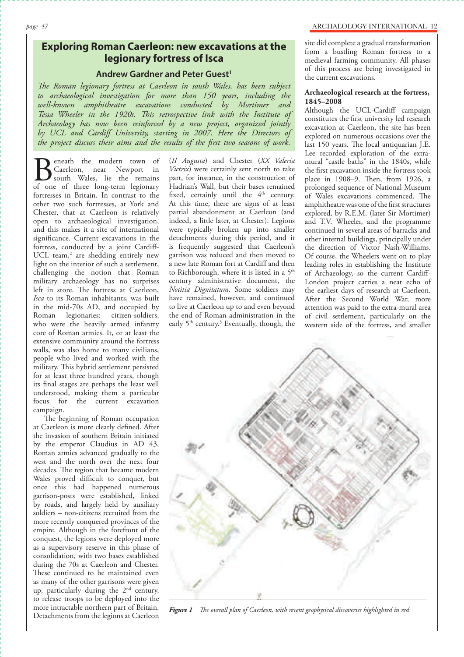# **Exploring Roman Caerleon: new excavations at the legionary fortress of Isca**

## **Andrew Gardner and Peter Guest<sup>1</sup>**

*The Roman legionary fortress at Caerleon in south Wales, has been subject to archaeological investigation for more than 150 years, including the well-known amphitheatre excavations conducted by Mortimer and Tessa Wheeler in the 1920s. This retrospective link with the Institute of Archaeology has now been reinforced by a new project, organized jointly by UCL and Cardiff University, starting in 2007. Here the Directors of the project discuss their aims and the results of the first two seasons of work.* 

Beneath the modern town of<br>Caerleon, near Newport in<br>of one of three long-term legionary Caerleon, near Newport in south Wales, lie the remains of one of three long-term legionary fortresses in Britain. In contrast to the other two such fortresses, at York and Chester, that at Caerleon is relatively open to archaeological investigation, and this makes it a site of international significance. Current excavations in the fortress, conducted by a joint Cardiff-UCL team,<sup>2</sup> are shedding entirely new light on the interior of such a settlement, challenging the notion that Roman military archaeology has no surprises left in store. The fortress at Caerleon, *Isca* to its Roman inhabitants, was built in the mid-70s AD, and occupied by Roman legionaries: citizen-soldiers, who were the heavily armed infantry core of Roman armies. It, or at least the extensive community around the fortress walls, was also home to many civilians, people who lived and worked with the military. This hybrid settlement persisted for at least three hundred years, though its final stages are perhaps the least well understood, making them a particular focus for the current excavation campaign.

The beginning of Roman occupation at Caerleon is more clearly defined. After the invasion of southern Britain initiated by the emperor Claudius in AD 43, Roman armies advanced gradually to the west and the north over the next four decades. The region that became modern Wales proved difficult to conquer, but once this had happened numerous garrison-posts were established, linked by roads, and largely held by auxiliary soldiers – non-citizens recruited from the more recently conquered provinces of the empire. Although in the forefront of the conquest, the legions were deployed more as a supervisory reserve in this phase of consolidation, with two bases established during the 70s at Caerleon and Chester. These continued to be maintained even as many of the other garrisons were given up, particularly during the 2<sup>nd</sup> century, to release troops to be deployed into the more intractable northern part of Britain. Detachments from the legions at Caerleon

(*II Augusta*) and Chester (*XX Valeria Victrix*) were certainly sent north to take part, for instance, in the construction of Hadrian's Wall, but their bases remained fixed, certainly until the  $4<sup>th</sup>$  century. At this time, there are signs of at least partial abandonment at Caerleon (and indeed, a little later, at Chester). Legions were typically broken up into smaller detachments during this period, and it is frequently suggested that Caerleon's garrison was reduced and then moved to a new late Roman fort at Cardiff and then to Richborough, where it is listed in a 5<sup>th</sup> century administrative document, the *Notitia Dignitatum*. Some soldiers may have remained, however, and continued to live at Caerleon up to and even beyond the end of Roman administration in the early  $5<sup>th</sup>$  century.<sup>3</sup> Eventually, though, the

site did complete a gradual transformation from a bustling Roman fortress to a medieval farming community. All phases of this process are being investigated in the current excavations.

### **Archaeological research at the fortress, 1845–2008**

Although the UCL-Cardiff campaign constitutes the first university led research excavation at Caerleon, the site has been explored on numerous occasions over the last 150 years. The local antiquarian J.E. Lee recorded exploration of the extramural "castle baths" in the 1840s, while the first excavation inside the fortress took place in 1908–9. Then, from 1926, a prolonged sequence of National Museum of Wales excavations commenced. The amphitheatre was one of the first structures explored, by R.E.M. (later Sir Mortimer) and T.V. Wheeler, and the programme continued in several areas of barracks and other internal buildings, principally under the direction of Victor Nash-Williams. Of course, the Wheelers went on to play leading roles in establishing the Institute of Archaeology, so the current Cardiff-London project carries a neat echo of the earliest days of research at Caerleon. After the Second World War, more attention was paid to the extra-mural area of civil settlement, particularly on the western side of the fortress, and smaller



*Figure 1 The overall plan of Caerleon, with recent geophysical discoveries highlighted in red*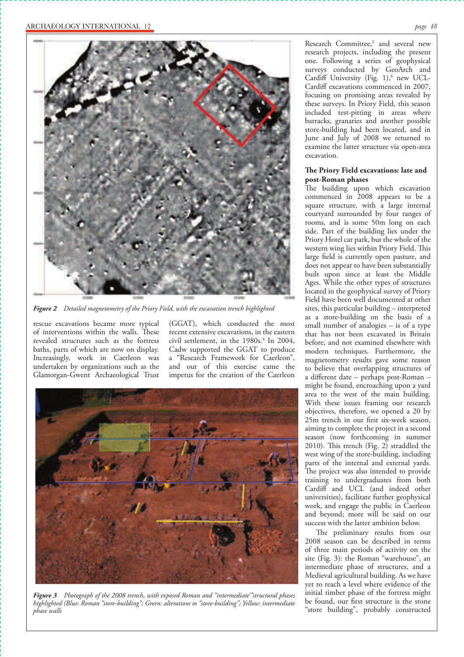

*Figure 2 Detailed magnetometry of the Priory Field, with the excavation trench highlighted* 

rescue excavations became more typical of interventions within the walls. These revealed structures such as the fortress baths, parts of which are now on display. Increasingly, work in Caerleon was undertaken by organizations such as the Glamorgan-Gwent Archaeological Trust

(GGAT), which conducted the most recent extensive excavations, in the eastern civil settlement, in the  $1980s<sup>4</sup>$  In 2004, Cadw supported the GGAT to produce a "Research Framework for Caerleon", and out of this exercise came the impetus for the creation of the Caerleon



*Figure 3 Photograph of the 2008 trench, with exposed Roman and "intermediate'"structural phases highlighted (Blue: Roman "store-building"; Green: alterations to "store-building"; Yellow: intermediate phase walls*

Research Committee,<sup>5</sup> and several new research projects, including the present one. Following a series of geophysical surveys conducted by GeoArch and Cardiff University (Fig. 1),<sup>6</sup> new UCL-Cardiff excavations commenced in 2007, focusing on promising areas revealed by these surveys. In Priory Field, this season included test-pitting in areas where barracks, granaries and another possible store-building had been located, and in June and July of 2008 we returned to examine the latter structure via open-area excavation.

### The Priory Field excavations: late and **post-Roman phases**

The building upon which excavation commenced in 2008 appears to be a square structure, with a large internal courtyard surrounded by four ranges of rooms, and is some 50m long on each side. Part of the building lies under the Priory Hotel car park, but the whole of the western wing lies within Priory Field. This large field is currently open pasture, and does not appear to have been substantially built upon since at least the Middle Ages. While the other types of structures located in the geophysical survey of Priory Field have been well documented at other sites, this particular building – interpreted as a store-building on the basis of a small number of analogies – is of a type that has not been excavated in Britain before, and not examined elsewhere with modern techniques. Furthermore, the magnetometry results gave some reason to believe that overlapping structures of a different date - perhaps post-Roman might be found, encroaching upon a yard area to the west of the main building. With these issues framing our research objectives, therefore, we opened a 20 by 25m trench in our first six-week season, aiming to complete the project in a second season (now forthcoming in summer 2010). This trench (Fig. 2) straddled the west wing of the store-building, including parts of the internal and external yards. The project was also intended to provide training to undergraduates from both Cardiff and UCL (and indeed other universities), facilitate further geophysical work, and engage the public in Caerleon and beyond; more will be said on our success with the latter ambition below.

The preliminary results from our 2008 season can be described in terms of three main periods of activity on the site (Fig. 3): the Roman "warehouse", an intermediate phase of structures, and a Medieval agricultural building. As we have yet to reach a level where evidence of the initial timber phase of the fortress might be found, our first structure is the stone "store building", probably constructed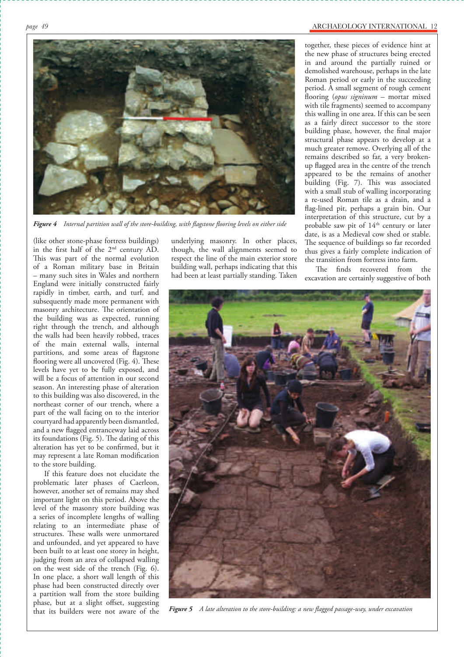

*Figure 4 Internal partition wall of the store-building, with flagstone flooring levels on either side* 

(like other stone-phase fortress buildings) in the first half of the 2nd century AD. This was part of the normal evolution of a Roman military base in Britain – many such sites in Wales and northern England were initially constructed fairly rapidly in timber, earth, and turf, and subsequently made more permanent with masonry architecture. The orientation of the building was as expected, running right through the trench, and although the walls had been heavily robbed, traces of the main external walls, internal partitions, and some areas of flagstone flooring were all uncovered (Fig. 4). These levels have yet to be fully exposed, and will be a focus of attention in our second season. An interesting phase of alteration to this building was also discovered, in the northeast corner of our trench, where a part of the wall facing on to the interior courtyard had apparently been dismantled, and a new flagged entranceway laid across its foundations (Fig. 5). The dating of this alteration has yet to be confirmed, but it may represent a late Roman modification to the store building.

If this feature does not elucidate the problematic later phases of Caerleon, however, another set of remains may shed important light on this period. Above the level of the masonry store building was a series of incomplete lengths of walling relating to an intermediate phase of structures. These walls were unmortared and unfounded, and yet appeared to have been built to at least one storey in height, judging from an area of collapsed walling on the west side of the trench (Fig. 6). In one place, a short wall length of this phase had been constructed directly over a partition wall from the store building phase, but at a slight offset, suggesting that its builders were not aware of the

underlying masonry. In other places, though, the wall alignments seemed to respect the line of the main exterior store building wall, perhaps indicating that this had been at least partially standing. Taken together, these pieces of evidence hint at the new phase of structures being erected in and around the partially ruined or demolished warehouse, perhaps in the late Roman period or early in the succeeding period. A small segment of rough cement flooring (*opus signinum* – mortar mixed with tile fragments) seemed to accompany this walling in one area. If this can be seen as a fairly direct successor to the store building phase, however, the final major structural phase appears to develop at a much greater remove. Overlying all of the remains described so far, a very brokenup flagged area in the centre of the trench appeared to be the remains of another building (Fig. 7). This was associated with a small stub of walling incorporating a re-used Roman tile as a drain, and a flag-lined pit, perhaps a grain bin. Our interpretation of this structure, cut by a probable saw pit of 14<sup>th</sup> century or later date, is as a Medieval cow shed or stable. The sequence of buildings so far recorded thus gives a fairly complete indication of the transition from fortress into farm.

The finds recovered from the excavation are certainly suggestive of both



*Figure 5 A late alteration to the store-building: a new flagged passage-way, under excavation*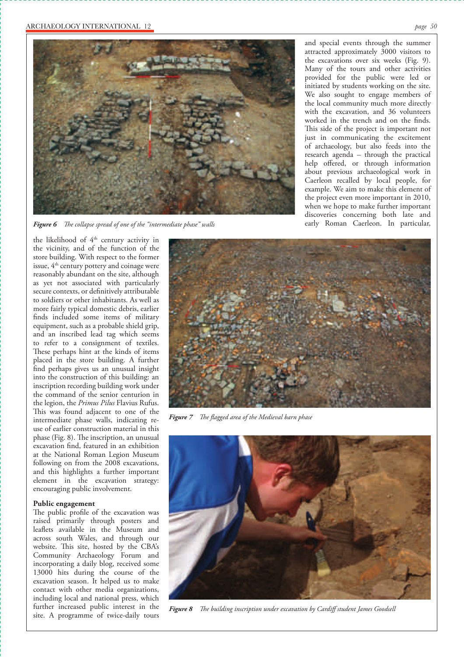

Figure 6 The collapse spread of one of the "intermediate phase" walls

the likelihood of 4<sup>th</sup> century activity in the vicinity, and of the function of the store building. With respect to the former issue, 4<sup>th</sup> century pottery and coinage were reasonably abundant on the site, although as yet not associated with particularly secure contexts, or definitively attributable to soldiers or other inhabitants. As well as more fairly typical domestic debris, earlier finds included some items of military equipment, such as a probable shield grip, and an inscribed lead tag which seems to refer to a consignment of textiles. These perhaps hint at the kinds of items placed in the store building. A further find perhaps gives us an unusual insight into the construction of this building: an inscription recording building work under the command of the senior centurion in the legion, the *Primus Pilus* Flavius Rufus. This was found adjacent to one of the intermediate phase walls, indicating reuse of earlier construction material in this phase (Fig. 8). The inscription, an unusual excavation find, featured in an exhibition at the National Roman Legion Museum following on from the 2008 excavations, and this highlights a further important element in the excavation strategy: encouraging public involvement.

#### **Public engagement**

The public profile of the excavation was raised primarily through posters and leaflets available in the Museum and across south Wales, and through our website. This site, hosted by the CBA's Community Archaeology Forum and incorporating a daily blog, received some 13000 hits during the course of the excavation season. It helped us to make contact with other media organizations, including local and national press, which further increased public interest in the site. A programme of twice-daily tours

and special events through the summer attracted approximately 3000 visitors to the excavations over six weeks (Fig. 9). Many of the tours and other activities provided for the public were led or initiated by students working on the site. We also sought to engage members of the local community much more directly with the excavation, and 36 volunteers worked in the trench and on the finds. This side of the project is important not just in communicating the excitement of archaeology, but also feeds into the research agenda – through the practical help offered, or through information about previous archaeological work in Caerleon recalled by local people, for example. We aim to make this element of the project even more important in 2010, when we hope to make further important discoveries concerning both late and<br>early Roman Caerleon. In particular,



*Figure 7 The flagged area of the Medieval barn phase* 



*Figure 8 The building inscription under excavation by Cardiff student James Goodsell*